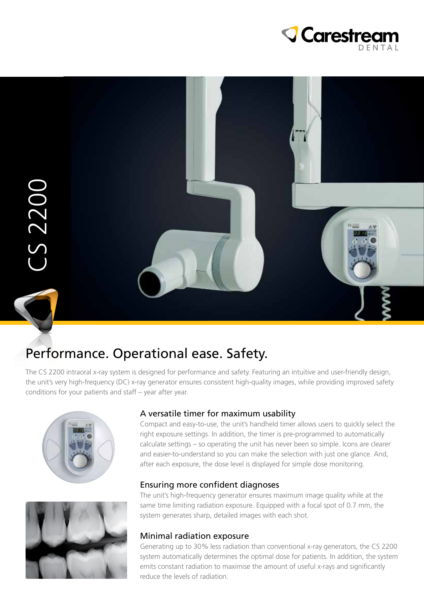



## Performance. Operational ease. Safety.

The CS 2200 intraoral x-ray system is designed for performance and safety. Featuring an intuitive and user-friendly design, the unit's very high-frequency (DC) x-ray generator ensures consistent high-quality images, while providing improved safety conditions for your patients and staff – year after year.





#### A versatile timer for maximum usability

Compact and easy-to-use, the unit's handheld timer allows users to quickly select the right exposure settings. In addition, the timer is pre-programmed to automatically calculate settings – so operating the unit has never been so simple. Icons are clearer and easier-to-understand so you can make the selection with just one glance. And, after each exposure, the dose level is displayed for simple dose monitoring.

#### Ensuring more confident diagnoses

The unit's high-frequency generator ensures maximum image quality while at the same time limiting radiation exposure. Equipped with a focal spot of 0.7 mm, the system generates sharp, detailed images with each shot.

#### Minimal radiation exposure

Generating up to 30% less radiation than conventional x-ray generators, the CS 2200 system automatically determines the optimal dose for patients. In addition, the system emits constant radiation to maximise the amount of useful x-rays and significantly reduce the levels of radiation.